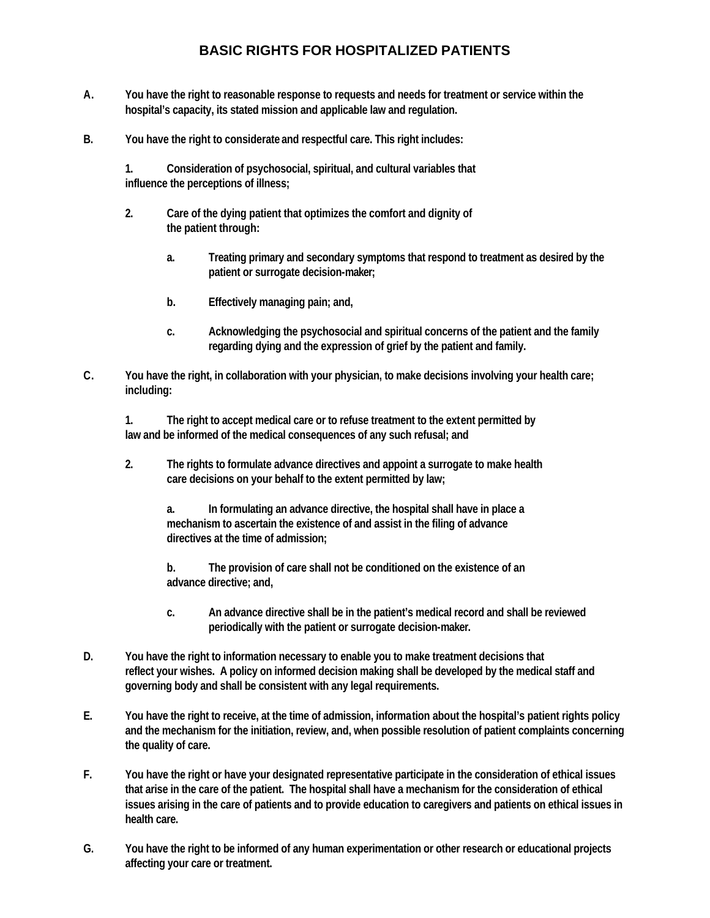## **BASIC RIGHTS FOR HOSPITALIZED PATIENTS**

- **A. You have the right to reasonable response to requests and needs for treatment or service within the hospital's capacity, its stated mission and applicable law and regulation.**
- **B. You have the right to considerate and respectful care. This right includes:**

**1. Consideration of psychosocial, spiritual, and cultural variables that influence the perceptions of illness;**

- **2. Care of the dying patient that optimizes the comfort and dignity of the patient through:**
	- **a. Treating primary and secondary symptoms that respond to treatment as desired by the patient or surrogate decision-maker;**
	- **b. Effectively managing pain; and,**
	- **c. Acknowledging the psychosocial and spiritual concerns of the patient and the family regarding dying and the expression of grief by the patient and family.**
- **C. You have the right, in collaboration with your physician, to make decisions involving your health care; including:**

**1. The right to accept medical care or to refuse treatment to the extent permitted by law and be informed of the medical consequences of any such refusal; and**

**2. The rights to formulate advance directives and appoint a surrogate to make health care decisions on your behalf to the extent permitted by law;**

**a. In formulating an advance directive, the hospital shall have in place a mechanism to ascertain the existence of and assist in the filing of advance directives at the time of admission;**

**b. The provision of care shall not be conditioned on the existence of an advance directive; and,**

- **c. An advance directive shall be in the patient's medical record and shall be reviewed periodically with the patient or surrogate decision-maker.**
- **D. You have the right to information necessary to enable you to make treatment decisions that reflect your wishes. A policy on informed decision making shall be developed by the medical staff and governing body and shall be consistent with any legal requirements.**
- **E. You have the right to receive, at the time of admission, information about the hospital's patient rights policy and the mechanism for the initiation, review, and, when possible resolution of patient complaints concerning the quality of care.**
- **F. You have the right or have your designated representative participate in the consideration of ethical issues that arise in the care of the patient. The hospital shall have a mechanism for the consideration of ethical issues arising in the care of patients and to provide education to caregivers and patients on ethical issues in health care.**
- **G. You have the right to be informed of any human experimentation or other research or educational projects affecting your care or treatment.**